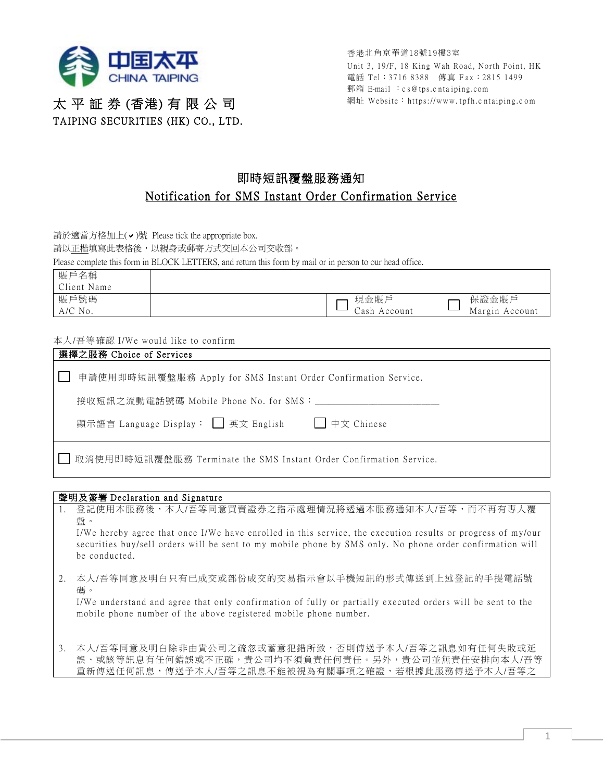

太 平 証 券 (香港) 有 限 公 司 TAIPING SECURITIES (HK) CO., LTD. 香港北角京華道18號19樓3室 Unit 3, 19/F, 18 King Wah Road, North Point, HK 電話 Tel: 3716 8388 傳真 Fax: 2815 1499 郵箱 E-ma il :c s@tps.c nta iping.com 網址 Website:https://www. tpfh.c ntaiping.c om

## 即時短訊覆盤服務通知 Notification for SMS Instant Order Confirmation Service

請於適當方格加上(v)號 Please tick the appropriate box.

請以正楷填寫此表格後,以親身或郵寄方式交回本公司交收部。

Please complete this form in BLOCK LETTERS, and return this form by mail or in person to our head office.

| 賬戶名稱<br>Client Name |                      |                         |
|---------------------|----------------------|-------------------------|
| 賬戶號碼<br>$A/C$ No.   | 現金賬戶<br>Cash Account | 保證金賬戶<br>Margin Account |

## 本人/吾等確認 I/We would like to confirm

| 選擇之服務 Choice of Services                                             |  |  |  |
|----------------------------------------------------------------------|--|--|--|
| 申請使用即時短訊覆盤服務 Apply for SMS Instant Order Confirmation Service.       |  |  |  |
| 接收短訊之流動電話號碼 Mobile Phone No. for SMS:                                |  |  |  |
| 顯示語言 Language Display: □ 英文 English □ 中文 Chinese                     |  |  |  |
| □ 取消使用即時短訊覆盤服務 Terminate the SMS Instant Order Confirmation Service. |  |  |  |

## 聲明及簽署 Declaration and Signature

1. 登記使用本服務後,本人/吾等同意買賣證券之指示處理情況將透過本服務通知本人/吾等,而不再有專人覆 盤。

I/We hereby agree that once I/We have enrolled in this service, the execution results or progress of my/our securities buy/sell orders will be sent to my mobile phone by SMS only. No phone order confirmation will be conducted.

2. 本人/吾等同意及明白只有已成交或部份成交的交易指示會以手機短訊的形式傳送到上述登記的手提電話號 碼。

I/We understand and agree that only confirmation of fully or partially executed orders will be sent to the mobile phone number of the above registered mobile phone number.

3. 本人/吾等同意及明白除非由貴公司之疏忽或蓄意犯錯所致,否則傳送予本人/吾等之訊息如有任何失敗或延 誤、或該等訊息有任何錯誤或不正確,貴公司均不須負責任何責任。另外,貴公司並無責任安排向本人/吾等 重新傳送任何訊息,傳送予本人/吾等之訊息不能被視為有關事項之確證,若根據此服務傳送予本人/吾等之